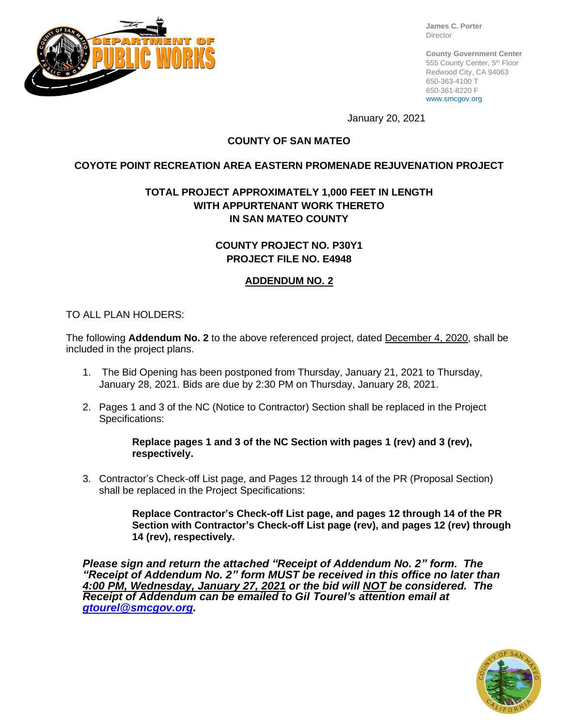

**James C. Porter** Director

**County Government Center** 555 County Center, 5th Floor Redwood City, CA 94063 650-363-4100 T 650-361-8220 F www.smcgov.org

January 20, 2021

# **COUNTY OF SAN MATEO**

# **COYOTE POINT RECREATION AREA EASTERN PROMENADE REJUVENATION PROJECT**

# **TOTAL PROJECT APPROXIMATELY 1,000 FEET IN LENGTH WITH APPURTENANT WORK THERETO IN SAN MATEO COUNTY**

**COUNTY PROJECT NO. P30Y1 PROJECT FILE NO. E4948**

# **ADDENDUM NO. 2**

#### TO ALL PLAN HOLDERS:

The following **Addendum No. 2** to the above referenced project, dated December 4, 2020, shall be included in the project plans.

- 1. The Bid Opening has been postponed from Thursday, January 21, 2021 to Thursday, January 28, 2021. Bids are due by 2:30 PM on Thursday, January 28, 2021.
- 2. Pages 1 and 3 of the NC (Notice to Contractor) Section shall be replaced in the Project Specifications:

**Replace pages 1 and 3 of the NC Section with pages 1 (rev) and 3 (rev), respectively.**

3. Contractor's Check-off List page, and Pages 12 through 14 of the PR (Proposal Section) shall be replaced in the Project Specifications:

> **Replace Contractor's Check-off List page, and pages 12 through 14 of the PR Section with Contractor's Check-off List page (rev), and pages 12 (rev) through 14 (rev), respectively.**

*Please sign and return the attached "Receipt of Addendum No. 2" form. The "Receipt of Addendum No. 2" form MUST be received in this office no later than 4:00 PM, Wednesday, January 27, 2021 or the bid will NOT be considered. The Receipt of Addendum can be emailed to Gil Tourel's attention email at [gtourel@smcgov.org.](mailto:gtourel@smcgov.org)*

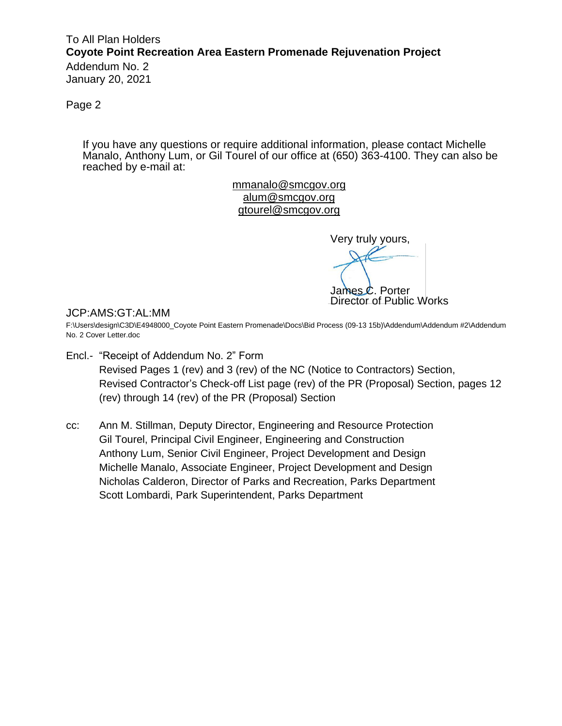# To All Plan Holders **Coyote Point Recreation Area Eastern Promenade Rejuvenation Project**

Addendum No. 2 January 20, 2021

Page 2

If you have any questions or require additional information, please contact Michelle Manalo, Anthony Lum, or Gil Tourel of our office at (650) 363-4100. They can also be reached by e-mail at:

> mmanalo@smcgov.org [alum@smcgov.org](mailto:cchoi@smcgov.org) [gtourel@smcgov.org](mailto:gtourel@smcgov.org)

Very truly yours, James C. Porter Director of Public Works

#### JCP:AMS:GT:AL:MM

F:\Users\design\C3D\E4948000\_Coyote Point Eastern Promenade\Docs\Bid Process (09-13 15b)\Addendum\Addendum #2\Addendum No. 2 Cover Letter.doc

- Encl.- "Receipt of Addendum No. 2" Form Revised Pages 1 (rev) and 3 (rev) of the NC (Notice to Contractors) Section, Revised Contractor's Check-off List page (rev) of the PR (Proposal) Section, pages 12 (rev) through 14 (rev) of the PR (Proposal) Section
- cc: Ann M. Stillman, Deputy Director, Engineering and Resource Protection Gil Tourel, Principal Civil Engineer, Engineering and Construction Anthony Lum, Senior Civil Engineer, Project Development and Design Michelle Manalo, Associate Engineer, Project Development and Design Nicholas Calderon, Director of Parks and Recreation, Parks Department Scott Lombardi, Park Superintendent, Parks Department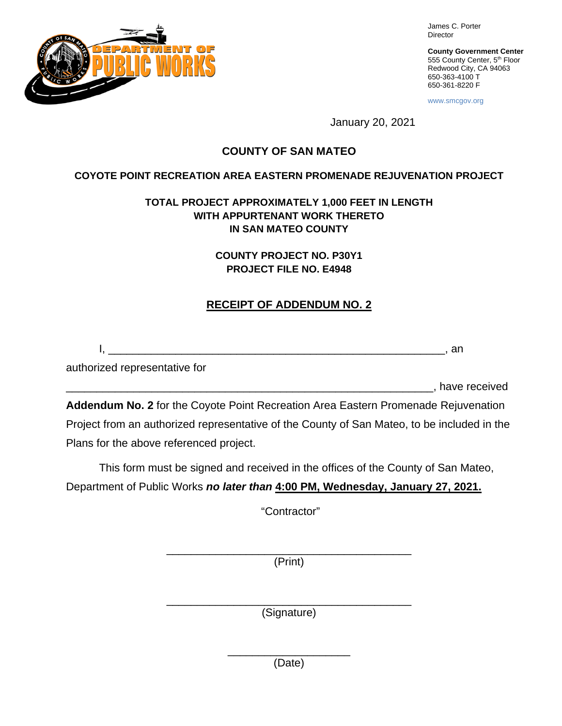

James C. Porter Director

**County Government Center** 555 County Center, 5<sup>th</sup> Floor Redwood City, CA 94063 650-363-4100 T 650-361-8220 F

www.smcgov.org

January 20, 2021

# **COUNTY OF SAN MATEO**

#### **COYOTE POINT RECREATION AREA EASTERN PROMENADE REJUVENATION PROJECT**

# **TOTAL PROJECT APPROXIMATELY 1,000 FEET IN LENGTH WITH APPURTENANT WORK THERETO IN SAN MATEO COUNTY**

**COUNTY PROJECT NO. P30Y1 PROJECT FILE NO. E4948**

# **RECEIPT OF ADDENDUM NO. 2**

I, \_\_\_\_\_\_\_\_\_\_\_\_\_\_\_\_\_\_\_\_\_\_\_\_\_\_\_\_\_\_\_\_\_\_\_\_\_\_\_\_\_\_\_\_\_\_\_\_\_\_\_\_\_\_\_, an

authorized representative for

\_\_\_\_\_\_\_\_\_\_\_\_\_\_\_\_\_\_\_\_\_\_\_\_\_\_\_\_\_\_\_\_\_\_\_\_\_\_\_\_\_\_\_\_\_\_\_\_\_\_\_\_\_\_\_\_\_\_\_\_, have received

**Addendum No. 2** for the Coyote Point Recreation Area Eastern Promenade Rejuvenation Project from an authorized representative of the County of San Mateo, to be included in the Plans for the above referenced project.

This form must be signed and received in the offices of the County of San Mateo, Department of Public Works *no later than* **4:00 PM, Wednesday, January 27, 2021.**

"Contractor"

\_\_\_\_\_\_\_\_\_\_\_\_\_\_\_\_\_\_\_\_\_\_\_\_\_\_\_\_\_\_\_\_\_\_\_\_\_\_\_\_ (Print)

\_\_\_\_\_\_\_\_\_\_\_\_\_\_\_\_\_\_\_\_\_\_\_\_\_\_\_\_\_\_\_\_\_\_\_\_\_\_\_\_ (Signature)

> \_\_\_\_\_\_\_\_\_\_\_\_\_\_\_\_\_\_\_\_ (Date)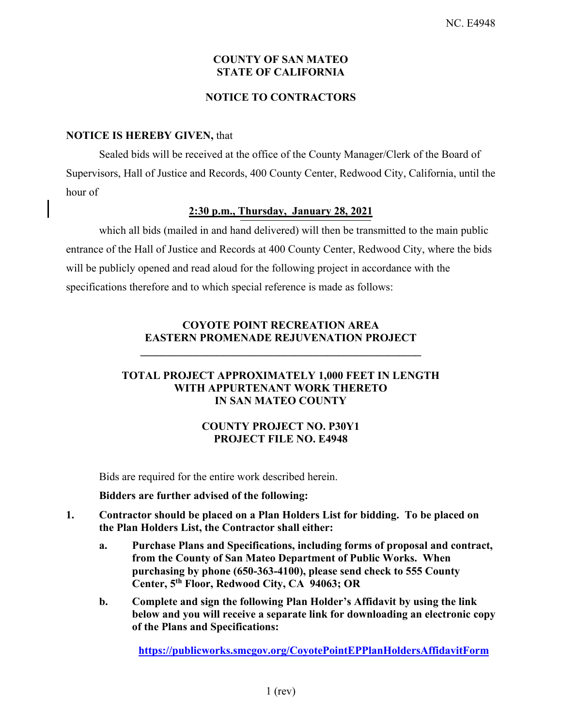#### **COUNTY OF SAN MATEO STATE OF CALIFORNIA**

#### **NOTICE TO CONTRACTORS**

#### **NOTICE IS HEREBY GIVEN,** that

Sealed bids will be received at the office of the County Manager/Clerk of the Board of Supervisors, Hall of Justice and Records, 400 County Center, Redwood City, California, until the hour of

#### **2:30 p.m., Thursday, January 28, 2021**

which all bids (mailed in and hand delivered) will then be transmitted to the main public entrance of the Hall of Justice and Records at 400 County Center, Redwood City, where the bids will be publicly opened and read aloud for the following project in accordance with the specifications therefore and to which special reference is made as follows:

# **COYOTE POINT RECREATION AREA EASTERN PROMENADE REJUVENATION PROJECT**

**\_\_\_\_\_\_\_\_\_\_\_\_\_\_\_\_\_\_\_\_\_\_\_\_\_\_\_\_\_\_\_\_\_\_\_\_\_\_\_\_\_\_\_\_\_\_\_\_\_\_\_** 

#### **TOTAL PROJECT APPROXIMATELY 1,000 FEET IN LENGTH WITH APPURTENANT WORK THERETO IN SAN MATEO COUNTY**

# **COUNTY PROJECT NO. P30Y1 PROJECT FILE NO. E4948**

Bids are required for the entire work described herein.

**Bidders are further advised of the following:** 

- **1. Contractor should be placed on a Plan Holders List for bidding. To be placed on the Plan Holders List, the Contractor shall either:**
	- **a. Purchase Plans and Specifications, including forms of proposal and contract, from the County of San Mateo Department of Public Works. When purchasing by phone (650-363-4100), please send check to 555 County Center, 5th Floor, Redwood City, CA 94063; OR**
	- **b. Complete and sign the following Plan Holder's Affidavit by using the link below and you will receive a separate link for downloading an electronic copy of the Plans and Specifications:**

**https://publicworks.smcgov.org/CoyotePointEPPlanHoldersAffidavitForm**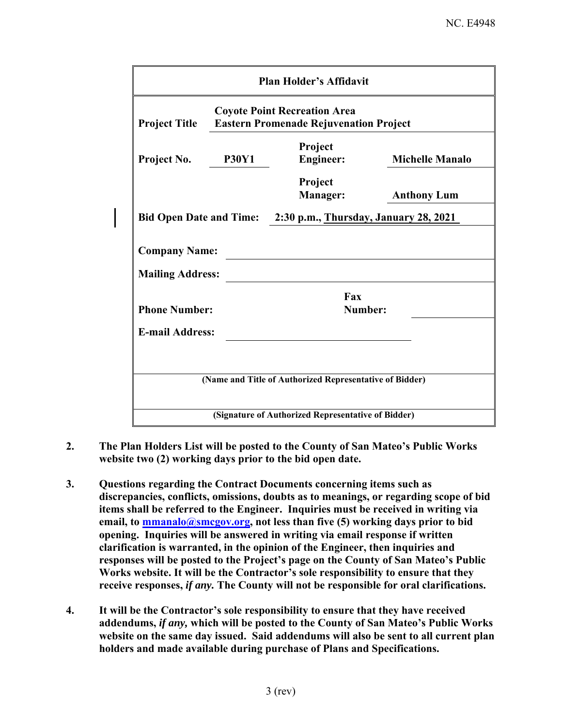|                                                 |              | <b>Plan Holder's Affidavit</b>                                                       |                        |
|-------------------------------------------------|--------------|--------------------------------------------------------------------------------------|------------------------|
| <b>Project Title</b>                            |              | <b>Coyote Point Recreation Area</b><br><b>Eastern Promenade Rejuvenation Project</b> |                        |
| Project No.                                     | <b>P30Y1</b> | Project<br><b>Engineer:</b>                                                          | <b>Michelle Manalo</b> |
|                                                 |              | Project<br><b>Manager:</b>                                                           | <b>Anthony Lum</b>     |
| <b>Bid Open Date and Time:</b>                  |              | 2:30 p.m., Thursday, January 28, 2021                                                |                        |
| <b>Company Name:</b><br><b>Mailing Address:</b> |              |                                                                                      |                        |
| <b>Phone Number:</b>                            |              | Fax<br>Number:                                                                       |                        |
| <b>E-mail Address:</b>                          |              |                                                                                      |                        |
|                                                 |              |                                                                                      |                        |
|                                                 |              | (Name and Title of Authorized Representative of Bidder)                              |                        |
|                                                 |              | (Signature of Authorized Representative of Bidder)                                   |                        |

- **2. The Plan Holders List will be posted to the County of San Mateo's Public Works website two (2) working days prior to the bid open date.**
- **3. Questions regarding the Contract Documents concerning items such as discrepancies, conflicts, omissions, doubts as to meanings, or regarding scope of bid items shall be referred to the Engineer. Inquiries must be received in writing via** email, to **mmanalo@smcgov.org**, not less than five (5) working days prior to bid **opening. Inquiries will be answered in writing via email response if written clarification is warranted, in the opinion of the Engineer, then inquiries and responses will be posted to the Project's page on the County of San Mateo's Public Works website. It will be the Contractor's sole responsibility to ensure that they receive responses,** *if any.* **The County will not be responsible for oral clarifications.**
- **4. It will be the Contractor's sole responsibility to ensure that they have received addendums,** *if any,* **which will be posted to the County of San Mateo's Public Works website on the same day issued. Said addendums will also be sent to all current plan holders and made available during purchase of Plans and Specifications.**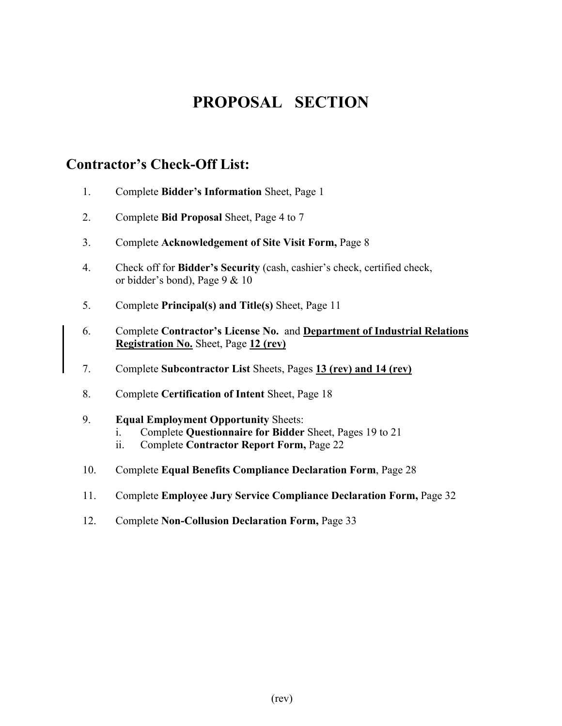# **PROPOSAL SECTION**

# **Contractor's Check-Off List:**

- 1. Complete **Bidder's Information** Sheet, Page 1
- 2. Complete **Bid Proposal** Sheet, Page 4 to 7
- 3. Complete **Acknowledgement of Site Visit Form,** Page 8
- 4. Check off for **Bidder's Security** (cash, cashier's check, certified check, or bidder's bond), Page 9 & 10
- 5. Complete **Principal(s) and Title(s)** Sheet, Page 11
- 6. Complete **Contractor's License No.** and **Department of Industrial Relations Registration No.** Sheet, Page **12 (rev)**
- 7. Complete **Subcontractor List** Sheets, Pages **13 (rev) and 14 (rev)**
- 8. Complete **Certification of Intent** Sheet, Page 18
- 9. **Equal Employment Opportunity** Sheets:
	- i. Complete **Questionnaire for Bidder** Sheet, Pages 19 to 21
	- ii. Complete **Contractor Report Form,** Page 22
- 10. Complete **Equal Benefits Compliance Declaration Form**, Page 28
- 11. Complete **Employee Jury Service Compliance Declaration Form,** Page 32
- 12. Complete **Non-Collusion Declaration Form,** Page 33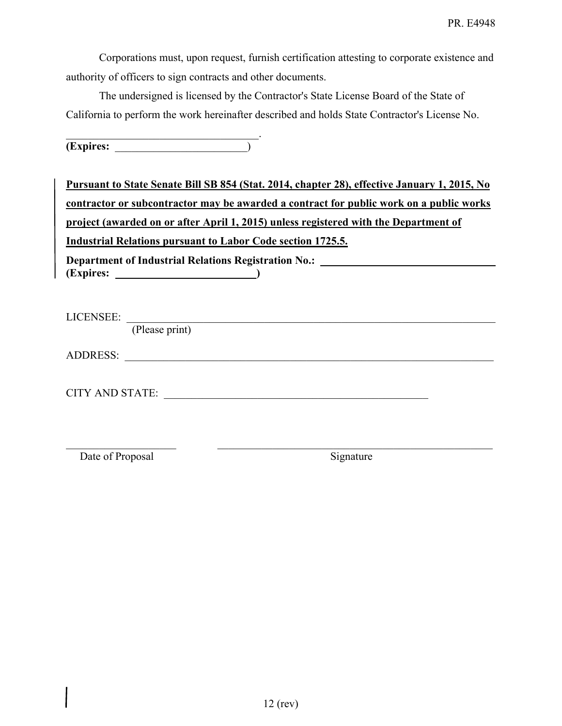Corporations must, upon request, furnish certification attesting to corporate existence and authority of officers to sign contracts and other documents.

The undersigned is licensed by the Contractor's State License Board of the State of California to perform the work hereinafter described and holds State Contractor's License No.

 $\mathcal{L}_\text{max}$  and  $\mathcal{L}_\text{max}$  and  $\mathcal{L}_\text{max}$  and  $\mathcal{L}_\text{max}$ **(Expires:** \_\_\_\_\_\_\_\_\_\_\_\_\_\_\_\_\_\_\_\_\_\_\_\_)

| Pursuant to State Senate Bill SB 854 (Stat. 2014, chapter 28), effective January 1, 2015, No |
|----------------------------------------------------------------------------------------------|
| contractor or subcontractor may be awarded a contract for public work on a public works      |
| project (awarded on or after April 1, 2015) unless registered with the Department of         |
| Industrial Relations pursuant to Labor Code section 1725.5.                                  |
| <b>Department of Industrial Relations Registration No.:</b>                                  |
| LICENSEE:<br>(Please print)                                                                  |

 $\mathcal{L}_\mathcal{L} = \mathcal{L}_\mathcal{L} = \mathcal{L}_\mathcal{L} = \mathcal{L}_\mathcal{L} = \mathcal{L}_\mathcal{L} = \mathcal{L}_\mathcal{L} = \mathcal{L}_\mathcal{L} = \mathcal{L}_\mathcal{L} = \mathcal{L}_\mathcal{L} = \mathcal{L}_\mathcal{L} = \mathcal{L}_\mathcal{L} = \mathcal{L}_\mathcal{L} = \mathcal{L}_\mathcal{L} = \mathcal{L}_\mathcal{L} = \mathcal{L}_\mathcal{L} = \mathcal{L}_\mathcal{L} = \mathcal{L}_\mathcal{L}$ 

ADDRESS: \_\_\_\_\_\_\_\_\_\_\_\_\_\_\_\_\_\_\_\_\_\_\_\_\_\_\_\_\_\_\_\_\_\_\_\_\_\_\_\_\_\_\_\_\_\_\_\_\_\_\_\_\_\_\_\_\_\_\_\_\_\_\_\_\_\_\_

| <b>CITY AND STATE:</b> |  |
|------------------------|--|
|                        |  |

Date of Proposal Signature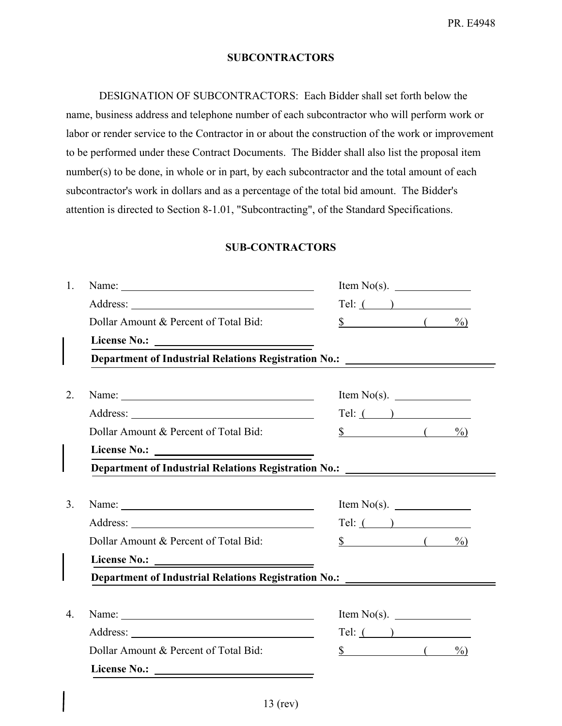#### **SUBCONTRACTORS**

DESIGNATION OF SUBCONTRACTORS: Each Bidder shall set forth below the name, business address and telephone number of each subcontractor who will perform work or labor or render service to the Contractor in or about the construction of the work or improvement to be performed under these Contract Documents. The Bidder shall also list the proposal item number(s) to be done, in whole or in part, by each subcontractor and the total amount of each subcontractor's work in dollars and as a percentage of the total bid amount. The Bidder's attention is directed to Section 8-1.01, "Subcontracting", of the Standard Specifications.

#### **SUB-CONTRACTORS**

|                                                                                                                                                                                                                                | Tel: (                                  |
|--------------------------------------------------------------------------------------------------------------------------------------------------------------------------------------------------------------------------------|-----------------------------------------|
| Dollar Amount & Percent of Total Bid:                                                                                                                                                                                          | $\frac{\sqrt{2}}{2}$ ( $\frac{9}{2}$ )  |
|                                                                                                                                                                                                                                |                                         |
| Department of Industrial Relations Registration No.: ___________________________                                                                                                                                               |                                         |
|                                                                                                                                                                                                                                |                                         |
| Name: Name and the set of the set of the set of the set of the set of the set of the set of the set of the set of the set of the set of the set of the set of the set of the set of the set of the set of the set of the set o | Item $No(s)$ .                          |
|                                                                                                                                                                                                                                | Tel: ( )                                |
| Dollar Amount & Percent of Total Bid:                                                                                                                                                                                          | $\frac{\sqrt{2}}{2}$ (<br>$\frac{0}{0}$ |
|                                                                                                                                                                                                                                |                                         |
|                                                                                                                                                                                                                                |                                         |
| Department of Industrial Relations Registration No.: ___________________________                                                                                                                                               |                                         |
|                                                                                                                                                                                                                                |                                         |
|                                                                                                                                                                                                                                |                                         |
|                                                                                                                                                                                                                                | Tel: (                                  |
| Dollar Amount & Percent of Total Bid:                                                                                                                                                                                          | $\frac{\ }{2}$ ( $\frac{\ }{2}$ )       |
|                                                                                                                                                                                                                                |                                         |
| Department of Industrial Relations Registration No.: ___________________________                                                                                                                                               |                                         |
|                                                                                                                                                                                                                                |                                         |
|                                                                                                                                                                                                                                |                                         |
|                                                                                                                                                                                                                                | Tel: ( )                                |
| Dollar Amount & Percent of Total Bid:                                                                                                                                                                                          | $\frac{\ }{8}$ ( $\frac{\ }{96}$ )      |